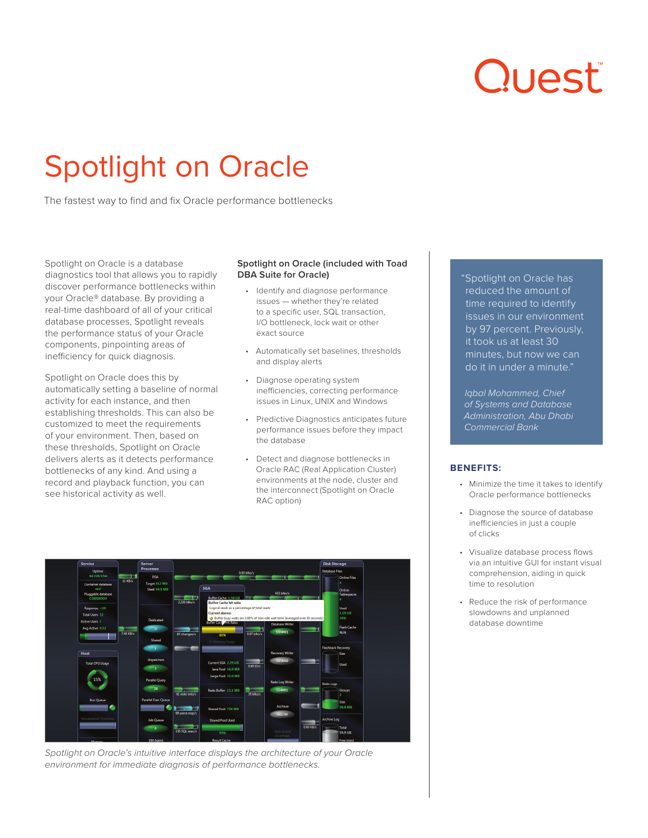# Quest

# Spotlight on Oracle

The fastest way to find and fix Oracle performance bottlenecks

Spotlight on Oracle is a database diagnostics tool that allows you to rapidly discover performance bottlenecks within your Oracle® database. By providing a real-time dashboard of all of your critical database processes, Spotlight reveals the performance status of your Oracle components, pinpointing areas of inefficiency for quick diagnosis.

Spotlight on Oracle does this by automatically setting a baseline of normal activity for each instance, and then establishing thresholds. This can also be customized to meet the requirements of your environment. Then, based on these thresholds, Spotlight on Oracle delivers alerts as it detects performance bottlenecks of any kind. And using a record and playback function, you can see historical activity as well.

# **Spotlight on Oracle (included with Toad DBA Suite for Oracle)**

- Identify and diagnose performance issues — whether they're related to a specific user, SQL transaction, I/O bottleneck, lock wait or other exact source
- Automatically set baselines, thresholds and display alerts
- Diagnose operating system inefficiencies, correcting performance issues in Linux, UNIX and Windows
- Predictive Diagnostics anticipates future performance issues before they impact the database
- Detect and diagnose bottlenecks in Oracle RAC (Real Application Cluster) environments at the node, cluster and the interconnect (Spotlight on Oracle RAC option)



*Spotlight on Oracle's intuitive interface displays the architecture of your Oracle environment for immediate diagnosis of performance bottlenecks.*

"Spotlight on Oracle has reduced the amount of time required to identify issues in our environment by 97 percent. Previously, it took us at least 30 minutes, but now we can do it in under a minute."

*Iqbal Mohammed, Chief of Systems and Database Administration, Abu Dhabi Commercial Bank*

# **BENEFITS:**

- Minimize the time it takes to identify Oracle performance bottlenecks
- Diagnose the source of database inefficiencies in just a couple of clicks
- Visualize database process flows via an intuitive GUI for instant visual comprehension, aiding in quick time to resolution
- Reduce the risk of performance slowdowns and unplanned database downtime